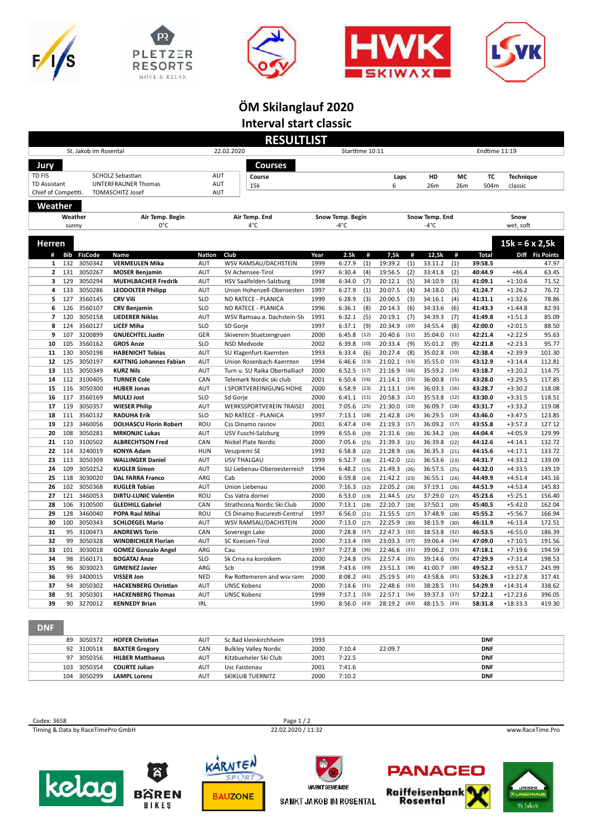









## **ÖM Skilanglauf 2020 Interval start classic**

|                                            |            |                       |                                         |               | <b>RESULTLIST</b>               |      |                  |      |         |      |                |      |               |                       |                 |
|--------------------------------------------|------------|-----------------------|-----------------------------------------|---------------|---------------------------------|------|------------------|------|---------|------|----------------|------|---------------|-----------------------|-----------------|
|                                            |            | St. Jakob im Rosental |                                         |               | 22.02.2020                      |      | Starttime 10:11  |      |         |      |                |      | Endtime 11:19 |                       |                 |
| Jury                                       |            |                       |                                         |               | Courses                         |      |                  |      |         |      |                |      |               |                       |                 |
|                                            |            |                       |                                         |               |                                 |      |                  |      |         |      |                |      |               |                       |                 |
| TD FIS                                     |            |                       | <b>SCHOLZ Sebastian</b>                 | AUT           | Course                          |      |                  |      | Laps    |      | HD             | MC   | ТC            | <b>Technique</b>      |                 |
| <b>TD Assistant</b><br>Chief of Competiti. |            |                       | UNTERFRAUNER Thomas<br>TOMASCHITZ Josef | AUT<br>AUT    | 15k                             |      |                  |      | 6       |      | 26m            | 26m  | 504m          | classic               |                 |
|                                            |            |                       |                                         |               |                                 |      |                  |      |         |      |                |      |               |                       |                 |
| Weather                                    |            |                       |                                         |               |                                 |      |                  |      |         |      |                |      |               |                       |                 |
|                                            | Weather    |                       | Air Temp. Begin                         |               | Air Temp. End                   |      | Snow Temp. Begin |      |         |      | Snow Temp. End |      |               | Snow                  |                 |
|                                            | sunny      |                       | 0°C                                     |               | 4°C                             |      | $-4^{\circ}$ C   |      |         |      | -4°C           |      |               | wet. soft             |                 |
|                                            |            |                       |                                         |               |                                 |      |                  |      |         |      |                |      |               |                       |                 |
| Herren                                     |            |                       |                                         |               |                                 |      |                  |      |         |      |                |      |               | $15k = 6 \times 2,5k$ |                 |
| #                                          | <b>Bib</b> | <b>FisCode</b>        | Name                                    | <b>Nation</b> | Club                            | Year | 2.5k             | #    | 7.5k    | #    | 12.5k          | #    | <b>Total</b>  |                       | Diff Fis Points |
| $\mathbf{1}$                               | 132        | 3050342               | <b>VERMEULEN Mika</b>                   | AUT           | WSV RAMSAU/DACHSTEIN            | 1999 | 6:27.9           | (1)  | 19:39.2 | (1)  | 33:11.2        | (1)  | 39:58.5       |                       | 47.97           |
| $\overline{2}$                             | 131        | 3050267               | <b>MOSER Benjamin</b>                   | <b>AUT</b>    | SV Achensee-Tirol               | 1997 | 6:30.4           | (4)  | 19:56.5 | (2)  | 33:41.8        | (2)  | 40:44.9       | $+46.4$               | 63.45           |
| 3                                          | 129        | 3050294               | <b>MUEHLBACHER Fredrik</b>              | AUT           | HSV Saalfelden-Salzburg         | 1998 | 6:34.0           | (7)  | 20:12.1 | (5)  | 34:10.9        | (3)  | 41:09.1       | $+1:10.6$             | 71.52           |
| 4                                          | 133        | 3050286               | <b>LEODOLTER Philipp</b>                | AUT           | Union Hohenzell-Oberoesterr     | 1997 | 6:27.9           | (1)  | 20:07.5 | (4)  | 34:18.0        | (5)  | 41:24.7       | $+1:26.2$             | 76.72           |
| 5                                          | 127        | 3560145               | <b>CRV Vili</b>                         | <b>SLO</b>    | ND RATECE - PLANICA             | 1999 | 6:28.9           | (3)  | 20:00.5 | (3)  | 34:16.1        | (4)  | 41:31.1       | $+1:32.6$             | 78.86           |
| 6                                          | 126        | 3560107               | <b>CRV Benjamin</b>                     | <b>SLO</b>    | ND RATECE - PLANICA             | 1996 | 6:36.1           | (8)  | 20:14.3 | (6)  | 34:33.6        | (6)  | 41:43.3       | $+1:44.8$             | 82.93           |
| $\overline{7}$                             | 120        | 3050158               | <b>LIEDERER Niklas</b>                  | AUT           | WSV Ramsau a. Dachstein-Ste     | 1991 | 6:32.1           | (5)  | 20:19.1 | (7)  | 34:39.3        | (7)  | 41:49.8       | $+1:51.3$             | 85.09           |
| 8                                          | 124        | 3560127               | <b>LICEF Miha</b>                       | <b>SLO</b>    | SD Gorie                        | 1997 | 6:37.1           | (9)  | 20:34.9 | (10) | 34:55.4        | (8)  | 42:00.0       | $+2:01.5$             | 88.50           |
| 9                                          | 107        | 3200899               | <b>GNUECHTEL Justin</b>                 | GER           | Skiverein Stuetzengruen         | 2000 | 6:45.8           | (12) | 20:40.6 | (11) | 35:04.0        | (11) | 42:21.4       | $+2:22.9$             | 95.63           |
| 10                                         | 105        | 3560162               | <b>GROS Anze</b>                        | <b>SLO</b>    | NSD Medvode                     | 2002 | 6:39.8           | (10) | 20:33.4 | (9)  | 35:01.2        | (9)  | 42:21.8       | $+2:23.3$             | 95.77           |
| 11                                         | 130        | 3050198               | <b>HABENICHT Tobias</b>                 | AUT           | SU Klagenfurt-Kaernten          | 1993 | 6:33.4           | (6)  | 20:27.4 | (8)  | 35:02.8        | (10) | 42:38.4       | $+2:39.9$             | 101.30          |
| 12                                         | 125        | 3050197               | <b>KATTNIG Johannes Fabian</b>          | <b>AUT</b>    | Union Rosenbach-Kaernten        | 1994 | 6:46.6           | (13) | 21:02.1 | (13) | 35:55.0        | (13) | 43:12.9       | $+3:14.4$             | 112.81          |
| 13                                         | 115        | 3050349               | <b>KURZ Nils</b>                        | <b>AUT</b>    | Turn u. SU Raika Obertialliach  | 2000 | 6:52.5           | (17) | 21:16.9 | (16) | 35:59.2        | (14) | 43:18.7       | $+3:20.2$             | 114.75          |
| 14                                         | 112        | 3100405               | <b>TURNER Cole</b>                      | CAN           | Telemark Nordic ski club        | 2001 | 6:50.4           | (16) | 21:14.1 | (15) | 36:00.8        | (15) | 43:28.0       | $+3:29.5$             | 117.85          |
| 15                                         | 116        | 3050300               | <b>HUBER Jonas</b>                      | AUT           | <b>I.SPORTVEREINIGUNG HOHE</b>  | 2000 | 6:58.9           | (23) | 21:13.1 | (14) | 36:03.3        | (16) | 43:28.7       | $+3:30.2$             | 118.08          |
| 16                                         | 117        | 3560169               | <b>MULEJ Jost</b>                       | <b>SLO</b>    | Sd Gorje                        | 2000 | 6:41.1           | (11) | 20:58.3 | (12) | 35:53.8        | (12) | 43:30.0       | $+3:31.5$             | 118.51          |
| 17                                         | 119        | 3050357               | <b>WIESER Philip</b>                    | AUT           | <b>WERKSSPORTVEREIN TRAISEI</b> | 2001 | 7:05.6           | (25) | 21:30.0 | (19) | 36:09.7        | (18) | 43:31.7       | $+3:33.2$             | 119.08          |
| 18                                         | 111        | 3560132               | <b>RADUHA Erik</b>                      | <b>SLO</b>    | ND RATECE - PLANICA             | 1997 | 7:13.1           | (28) | 21:42.8 | (24) | 36:29.5        | (19) | 43:46.0       | $+3:47.5$             | 123.85          |
| 19                                         | 123        | 3460056               | <b>DOLHASCU Florin Robert</b>           | ROU           | Css Dinamo rasnov               | 2001 | 6:47.4           | (14) | 21:19.3 | (17) | 36:09.2        | (17) | 43:55.8       | $+3:57.3$             | 127.12          |
| 20                                         | 108        | 3050281               | <b>MRKONJIC Lukas</b>                   | AUT           | <b>USV Fuschl-Salzburg</b>      | 1999 | 6:55.6           | (20) | 21:31.6 | (20) | 36:34.2        | (20) | 44:04.4       | $+4:05.9$             | 129.99          |
| 21                                         | 110        | 3100502               | <b>ALBRECHTSON Fred</b>                 | CAN           | Nickel Plate Nordic             | 2000 | 7:05.6           | (25) | 21:39.3 | (21) | 36:39.8        | (22) | 44:12.6       | $+4:14.1$             | 132.72          |
| 22                                         | 114        | 3240019               | <b>KONYA Adam</b>                       | <b>HUN</b>    | Veszpremi SE                    | 1992 | 6:58.8           | (22) | 21:28.9 | (18) | 36:35.3        | (21) | 44:15.6       | $+4:17.1$             | 133.72          |
| 23                                         | 113        | 3050309               | <b>WALLINGER Daniel</b>                 | AUT           | <b>USV THALGAU</b>              | 1999 | 6:52.7           | (18) | 21:42.0 | (22) | 36:53.6        | (23) | 44:31.7       | $+4:33.2$             | 139.09          |
| 24                                         | 109        | 3050252               | <b>KUGLER Simon</b>                     | <b>AUT</b>    | SU Liebenau-Oberoesterreich     | 1994 | 6:48.2           | (15) | 21:49.3 | (26) | 36:57.5        | (25) | 44:32.0       | $+4:33.5$             | 139.19          |
| 25                                         | 118        | 3030020               | <b>DAL FARRA Franco</b>                 | ARG           | Cab                             | 2000 | 6:59.8           | (24) | 21:42.2 | (23) | 36:55.1        | (24) | 44:49.9       | $+4:51.4$             | 145.16          |
| 26                                         | 102        | 3050368               | <b>KUGLER Tobias</b>                    | <b>AUT</b>    | Union Liebenau                  | 2000 | 7:16.3           | (32) | 22:05.2 | (28) | 37:19.1        | (26) | 44:51.9       | $+4:53.4$             | 145.83          |
| 27                                         | 121        | 3460053               | <b>DIRTU-LUNIC Valentin</b>             | ROU           | Css Vatra dornei                | 2000 | 6:53.0           | (19) | 21:44.5 | (25) | 37:29.0        | (27) | 45:23.6       | $+5:25.1$             | 156.40          |
| 28                                         | 106        | 3100500               | <b>GLEDHILL Gabriel</b>                 | CAN           | Strathcona Nordic Ski Club      | 2000 | 7:13.1           | (28) | 22:10.7 | (29) | 37:50.1        | (29) | 45:40.5       | $+5:42.0$             | 162.04          |
| 29                                         | 128        | 3460040               | POPA Raul Mihai                         | ROU           | CS Dinamo Bucuresti-Centrul     | 1997 | 6:56.0           | (21) | 21:55.5 | (27) | 37:48.9        | (28) | 45:55.2       | $+5:56.7$             | 166.94          |
| 30                                         | 100        | 3050343               | <b>SCHLOEGEL Mario</b>                  | <b>AUT</b>    | WSV RAMSAU/DACHSTEIN            | 2000 | 7:13.0           | (27) | 22:25.9 | (30) | 38:15.9        | (30) | 46:11.9       | $+6:13.4$             | 172.51          |
| 31                                         | 95         | 3100473               | <b>ANDREWS Torin</b>                    | CAN           | Sovereign Lake                  | 2000 | 7:28.8           | (37) | 22:47.3 | (32) | 38:53.8        | (32) | 46:53.5       | $+6:55.0$             | 186.39          |
| 32                                         | 99         | 3050328               | <b>WINDBICHLER Florian</b>              | <b>AUT</b>    | SC Koessen-Tirol                | 2000 | 7:13.4           | (30) | 23:03.3 | (37) | 39:06.4        | (34) | 47:09.0       | $+7:10.5$             | 191.56          |
| 33                                         | 101        | 3030018               | <b>GOMEZ Gonzalo Angel</b>              | ARG           | Cau                             | 1997 | 7:27.8           | (36) | 22:46.6 | (31) | 39:06.2        | (33) | 47:18.1       | $+7:19.6$             | 194.59          |
| 34                                         | 98         | 3560171               | <b>BOGATAJ Anze</b>                     | <b>SLO</b>    | Sk Crna na koroskem             | 2000 | 7:24.8           | (35) | 22:57.4 | (35) | 39:14.6        | (35) | 47:29.9       | $+7:31.4$             | 198.53          |
| 35                                         | 96         | 3030023               | <b>GIMENEZ Javier</b>                   | ARG           | Scb                             | 1998 | 7:43.6           | (39) | 23:51.3 | (38) | 41:00.7        | (38) | 49:52.2       | $+9:53.7$             | 245.99          |
| 36                                         | 93         | 3400015               | <b>VISSER Jon</b>                       | <b>NED</b>    | Rw Rottemeren and wsv rams      | 2000 | 8:08.2           | (41) | 25:19.5 | (41) | 43:58.6        | (41) | 53:26.3       | $+13:27.8$            | 317.41          |
| 37                                         | 94         | 3050302               | <b>HACKENBERG Christian</b>             | AUT           | <b>UNSC Kobenz</b>              | 2000 | 7:14.6           | (31) | 22:48.6 | (33) | 38:28.5        | (31) | 54:29.9       | $+14:31.4$            | 338.62          |
| 38                                         | 91         | 3050301               | <b>HACKENBERG Thomas</b>                | <b>AUT</b>    | <b>UNSC Kobenz</b>              | 1999 | 7:17.1           | (33) | 22:57.1 | (34) | 39:37.3        | (37) | 57:22.1       | $+17:23.6$            | 396.05          |
| 39                                         | 90         | 3270012               | <b>KENNEDY Brian</b>                    | <b>IRL</b>    |                                 | 1990 | 8:56.0           | (43) | 28:19.2 | (43) | 48:15.5        | (43) | 58:31.8       | $+18:33.3$            | 419.30          |

DNF

| 89  | 3050372    | <b>HOFER Christian</b>  | AUT        | Sc Bad kleinkirchheim | 1993 |        |         | <b>DNF</b> |
|-----|------------|-------------------------|------------|-----------------------|------|--------|---------|------------|
|     | 92 3100518 | <b>BAXTER Gregory</b>   | CAN        | Bulkley Valley Nordic | 2000 | 7:10.4 | 22:09.7 | <b>DNF</b> |
|     | 97 3050356 | <b>HILBER Matthaeus</b> | AUT        | Kitzbueheler Ski Club | 2001 | 7:22.5 |         | <b>DNF</b> |
| 103 | 3050354    | <b>COURTE Julian</b>    | <b>AUT</b> | Usc Faistenau         | 2001 | 7:41.6 |         | <b>DNF</b> |
| 104 | 3050299    | <b>LAMPL Lorenz</b>     | AUT        | SKIKLUB TUERNITZ      | 2000 | 7:10.2 |         | <b>DNF</b> |
|     |            |                         |            |                       |      |        |         |            |

Ecodex: 3658 Page 1/2<br>
Timing & Data by RaceTimePro GmbH 22.02.2020 / 11:32 Timing & Data by RaceTimePro GmbH 22.02.2020 / 11:32 www.RaceTime.Pro









**SANKT JAKOB IM ROSENTAL**